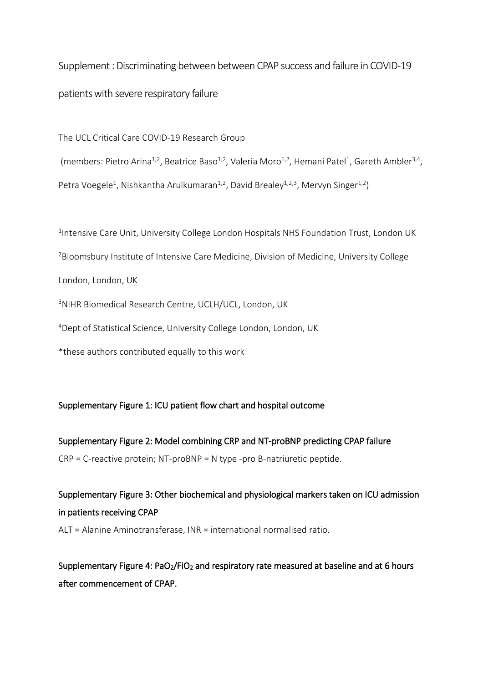Supplement : Discriminating between between CPAP success and failure in COVID-19 patients with severe respiratory failure

The UCL Critical Care COVID-19 Research Group

(members: Pietro Arina<sup>1,2</sup>, Beatrice Baso<sup>1,2</sup>, Valeria Moro<sup>1,2</sup>, Hemani Patel<sup>1</sup>, Gareth Ambler<sup>3,4</sup>, Petra Voegele<sup>1</sup>, Nishkantha Arulkumaran<sup>1,2</sup>, David Brealey<sup>1,2,3</sup>, Mervyn Singer<sup>1,2</sup>)

<sup>1</sup>Intensive Care Unit, University College London Hospitals NHS Foundation Trust, London UK <sup>2</sup>Bloomsbury Institute of Intensive Care Medicine, Division of Medicine, University College London, London, UK

<sup>3</sup>NIHR Biomedical Research Centre, UCLH/UCL, London, UK

<sup>4</sup>Dept of Statistical Science, University College London, London, UK

\*these authors contributed equally to this work

### Supplementary Figure 1: ICU patient flow chart and hospital outcome

Supplementary Figure 2: Model combining CRP and NT-proBNP predicting CPAP failure CRP = C-reactive protein; NT-proBNP = N type -pro B-natriuretic peptide.

Supplementary Figure 3: Other biochemical and physiological markers taken on ICU admission in patients receiving CPAP ALT = Alanine Aminotransferase, INR = international normalised ratio.

Supplementary Figure 4: PaO<sub>2</sub>/FiO<sub>2</sub> and respiratory rate measured at baseline and at 6 hours after commencement of CPAP.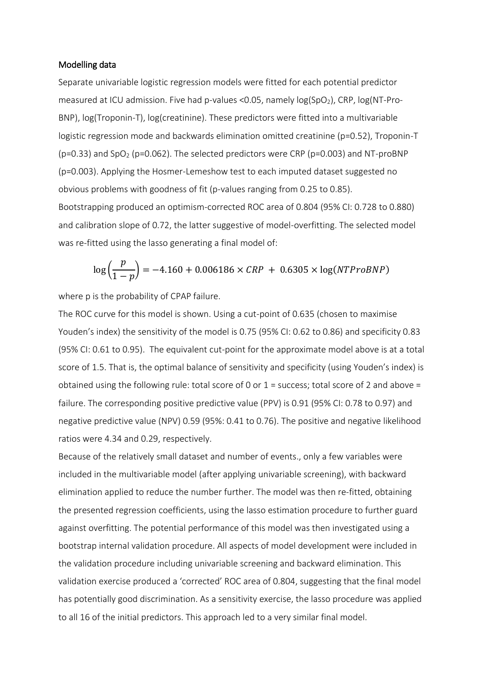#### Modelling data

Separate univariable logistic regression models were fitted for each potential predictor measured at ICU admission. Five had p-values <0.05, namely log(SpO<sub>2</sub>), CRP, log(NT-Pro-BNP), log(Troponin-T), log(creatinine). These predictors were fitted into a multivariable logistic regression mode and backwards elimination omitted creatinine (p=0.52), Troponin-T ( $p=0.33$ ) and  $SpO<sub>2</sub>$  ( $p=0.062$ ). The selected predictors were CRP ( $p=0.003$ ) and NT-proBNP (p=0.003). Applying the Hosmer-Lemeshow test to each imputed dataset suggested no obvious problems with goodness of fit (p-values ranging from 0.25 to 0.85). Bootstrapping produced an optimism-corrected ROC area of 0.804 (95% CI: 0.728 to 0.880) and calibration slope of 0.72, the latter suggestive of model-overfitting. The selected model was re-fitted using the lasso generating a final model of:

$$
\log\left(\frac{p}{1-p}\right) = -4.160 + 0.006186 \times \text{CRP} + 0.6305 \times \log(\text{NTP} \times \text{RPP})
$$

where p is the probability of CPAP failure.

The ROC curve for this model is shown. Using a cut-point of 0.635 (chosen to maximise Youden's index) the sensitivity of the model is 0.75 (95% CI: 0.62 to 0.86) and specificity 0.83 (95% CI: 0.61 to 0.95). The equivalent cut-point for the approximate model above is at a total score of 1.5. That is, the optimal balance of sensitivity and specificity (using Youden's index) is obtained using the following rule: total score of 0 or 1 = success; total score of 2 and above = failure. The corresponding positive predictive value (PPV) is 0.91 (95% CI: 0.78 to 0.97) and negative predictive value (NPV) 0.59 (95%: 0.41 to 0.76). The positive and negative likelihood ratios were 4.34 and 0.29, respectively.

Because of the relatively small dataset and number of events., only a few variables were included in the multivariable model (after applying univariable screening), with backward elimination applied to reduce the number further. The model was then re-fitted, obtaining the presented regression coefficients, using the lasso estimation procedure to further guard against overfitting. The potential performance of this model was then investigated using a bootstrap internal validation procedure. All aspects of model development were included in the validation procedure including univariable screening and backward elimination. This validation exercise produced a 'corrected' ROC area of 0.804, suggesting that the final model has potentially good discrimination. As a sensitivity exercise, the lasso procedure was applied to all 16 of the initial predictors. This approach led to a very similar final model.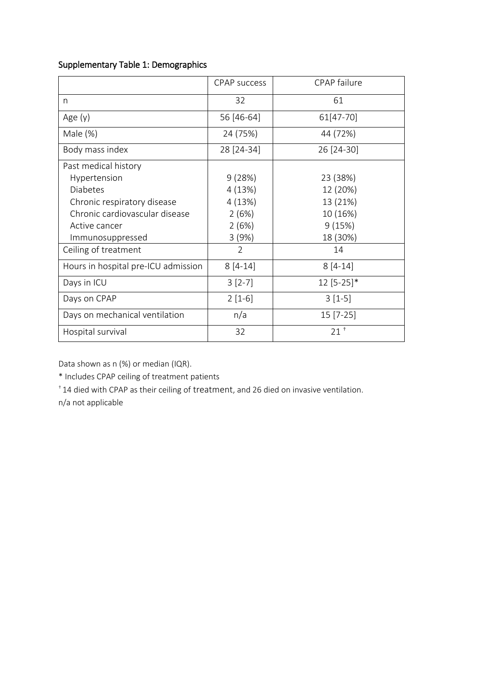## Supplementary Table 1: Demographics

|                                     | <b>CPAP</b> success | CPAP failure    |
|-------------------------------------|---------------------|-----------------|
| n                                   | 32                  | 61              |
| Age $(y)$                           | 56 [46-64]          | 61[47-70]       |
| Male $(\%)$                         | 24 (75%)            | 44 (72%)        |
| Body mass index                     | 28 [24-34]          | 26 [24-30]      |
| Past medical history                |                     |                 |
| Hypertension                        | 9(28%)              | 23 (38%)        |
| <b>Diabetes</b>                     | 4(13%)              | 12 (20%)        |
| Chronic respiratory disease         | 4(13%)              | 13 (21%)        |
| Chronic cardiovascular disease      | 2(6%)               | 10 (16%)        |
| Active cancer                       | 2(6%)               | 9(15%)          |
| Immunosuppressed                    | 3(9%)               | 18 (30%)        |
| Ceiling of treatment                | $\overline{2}$      | 14              |
| Hours in hospital pre-ICU admission | $8[4-14]$           | $8[4-14]$       |
| Days in ICU                         | $3[2-7]$            | $12 [5-25]*$    |
| Days on CPAP                        | $2[1-6]$            | $3[1-5]$        |
| Days on mechanical ventilation      | n/a                 | $15 [7-25]$     |
| Hospital survival                   | 32                  | 21 <sup>†</sup> |

Data shown as n (%) or median (IQR).

\* Includes CPAP ceiling of treatment patients

† 14 died with CPAP as their ceiling of treatment, and 26 died on invasive ventilation.

n/a not applicable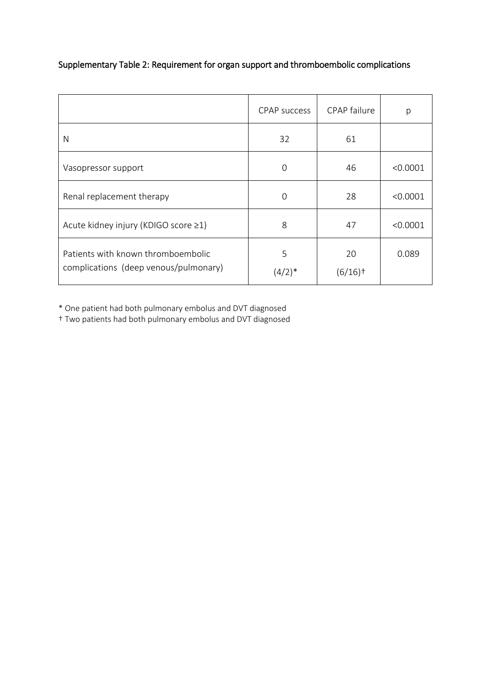|                                                                             | CPAP success              | <b>CPAP</b> failure         | р        |
|-----------------------------------------------------------------------------|---------------------------|-----------------------------|----------|
| N                                                                           | 32                        | 61                          |          |
| Vasopressor support                                                         | $\Omega$                  | 46                          | < 0.0001 |
| Renal replacement therapy                                                   | $\Omega$                  | 28                          | < 0.0001 |
| Acute kidney injury (KDIGO score ≥1)                                        | 8                         | 47                          | < 0.0001 |
| Patients with known thromboembolic<br>complications (deep venous/pulmonary) | 5<br>$(4/2)$ <sup>*</sup> | 20<br>$(6/16)$ <sup>+</sup> | 0.089    |

# Supplementary Table 2: Requirement for organ support and thromboembolic complications

\* One patient had both pulmonary embolus and DVT diagnosed

† Two patients had both pulmonary embolus and DVT diagnosed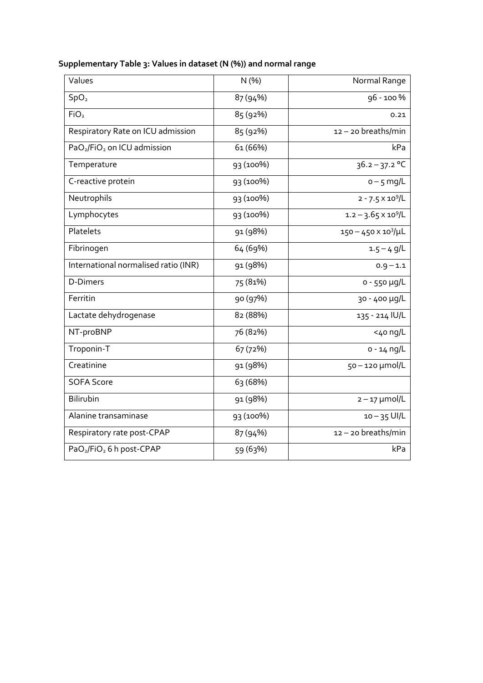| Values                                              | N(%)      | Normal Range                  |
|-----------------------------------------------------|-----------|-------------------------------|
| SpO <sub>2</sub>                                    | 87 (94%)  | 96 - 100 %                    |
| FiO <sub>2</sub>                                    | 85 (92%)  | 0.21                          |
| Respiratory Rate on ICU admission                   | 85 (92%)  | 12-20 breaths/min             |
| PaO <sub>2</sub> /FiO <sub>2</sub> on ICU admission | 61 (66%)  | kPa                           |
| Temperature                                         | 93 (100%) | $36.2 - 37.2$ °C              |
| C-reactive protein                                  | 93 (100%) | $o - 5$ mg/L                  |
| Neutrophils                                         | 93 (100%) | $2 - 7.5 \times 10^9 / L$     |
| Lymphocytes                                         | 93 (100%) | $1.2 - 3.65 \times 10^9 / L$  |
| Platelets                                           | 91 (98%)  | $150 - 450 \times 10^3/\mu L$ |
| Fibrinogen                                          | 64 (69%)  | $1.5 - 4$ g/L                 |
| International normalised ratio (INR)                | 91 (98%)  | $0.9 - 1.1$                   |
| <b>D-Dimers</b>                                     | 75 (81%)  | $0 - 550 \mu g/L$             |
| Ferritin                                            | 90 (97%)  | 30 - 400 µg/L                 |
| Lactate dehydrogenase                               | 82 (88%)  | 135 - 214 IU/L                |
| NT-proBNP                                           | 76 (82%)  | $<$ 40 ng/L                   |
| Troponin-T                                          | 67 (72%)  | $0 - 14$ ng/L                 |
| Creatinine                                          | 91 (98%)  | 50-120 µmol/L                 |
| <b>SOFA Score</b>                                   | 63 (68%)  |                               |
| Bilirubin                                           | 91 (98%)  | $2 - 17$ µmol/L               |
| Alanine transaminase                                | 93 (100%) | $10 - 35$ UI/L                |
| Respiratory rate post-CPAP                          | 87 (94%)  | $12 - 20$ breaths/min         |
| PaO <sub>2</sub> /FiO <sub>2</sub> 6 h post-CPAP    | 59 (63%)  | kPa                           |

# **Supplementary Table 3: Values in dataset (N (%)) and normal range**